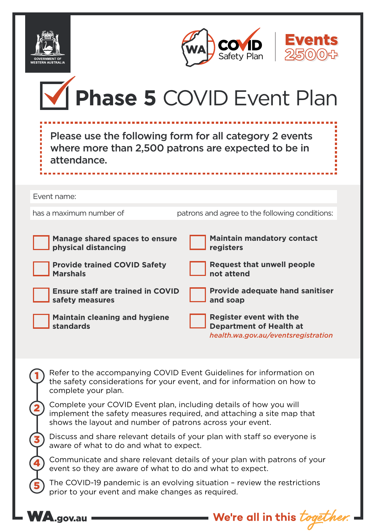

2

3

4

5

WA.gov.au





|                                                                                                                                                                       |                                                                                                                               | M Phase 5 COVID Event Plan                                                                              |  |  |
|-----------------------------------------------------------------------------------------------------------------------------------------------------------------------|-------------------------------------------------------------------------------------------------------------------------------|---------------------------------------------------------------------------------------------------------|--|--|
|                                                                                                                                                                       | Please use the following form for all category 2 events<br>where more than 2,500 patrons are expected to be in<br>attendance. |                                                                                                         |  |  |
|                                                                                                                                                                       |                                                                                                                               |                                                                                                         |  |  |
|                                                                                                                                                                       | Event name:                                                                                                                   |                                                                                                         |  |  |
|                                                                                                                                                                       | has a maximum number of                                                                                                       | patrons and agree to the following conditions:                                                          |  |  |
|                                                                                                                                                                       |                                                                                                                               |                                                                                                         |  |  |
|                                                                                                                                                                       | Manage shared spaces to ensure<br>physical distancing                                                                         | <b>Maintain mandatory contact</b><br>registers                                                          |  |  |
|                                                                                                                                                                       | <b>Provide trained COVID Safety</b><br><b>Marshals</b>                                                                        | <b>Request that unwell people</b><br>not attend                                                         |  |  |
|                                                                                                                                                                       | <b>Ensure staff are trained in COVID</b><br>safety measures                                                                   | <b>Provide adequate hand sanitiser</b><br>and soap                                                      |  |  |
|                                                                                                                                                                       | <b>Maintain cleaning and hygiene</b><br>standards                                                                             | <b>Register event with the</b><br><b>Department of Health at</b><br>health.wa.gov.au/eventsregistration |  |  |
| Refer to the accompanying COVID Event Guidelines for information on<br>the safety considerations for your event, and for information on how to<br>complete your plan. |                                                                                                                               |                                                                                                         |  |  |

Complete your COVID Event plan, including details of how you will implement the safety measures required, and attaching a site map that shows the layout and number of patrons across your event.

Discuss and share relevant details of your plan with staff so everyone is aware of what to do and what to expect.

Communicate and share relevant details of your plan with patrons of your event so they are aware of what to do and what to expect.

The COVID-19 pandemic is an evolving situation – review the restrictions prior to your event and make changes as required.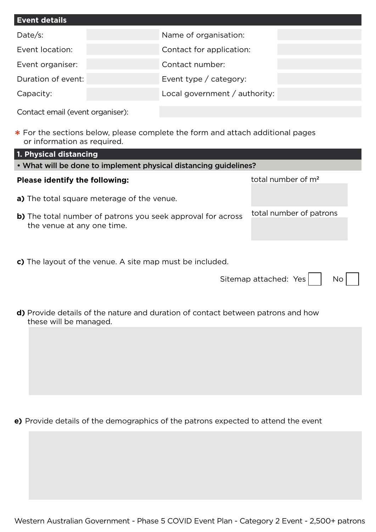| <b>Event details</b> |                               |  |  |  |
|----------------------|-------------------------------|--|--|--|
| Date/s:              | Name of organisation:         |  |  |  |
| Event location:      | Contact for application:      |  |  |  |
| Event organiser:     | Contact number:               |  |  |  |
| Duration of event:   | Event type / category:        |  |  |  |
| Capacity:            | Local government / authority: |  |  |  |

Contact email (event organiser):

**\*** For the sections below, please complete the form and attach additional pages or information as required.

| 1. Physical distancing                                                                    |                                |  |  |  |  |
|-------------------------------------------------------------------------------------------|--------------------------------|--|--|--|--|
| • What will be done to implement physical distancing guidelines?                          |                                |  |  |  |  |
| <b>Please identify the following:</b>                                                     | total number of m <sup>2</sup> |  |  |  |  |
| a) The total square meterage of the venue.                                                |                                |  |  |  |  |
| b) The total number of patrons you seek approval for across<br>the venue at any one time. | total number of patrons        |  |  |  |  |
| c) The layout of the venue. A site map must be included.                                  |                                |  |  |  |  |
| Sitemap attached: Yes<br>No                                                               |                                |  |  |  |  |

**d)** Provide details of the nature and duration of contact between patrons and how these will be managed.

**e)** Provide details of the demographics of the patrons expected to attend the event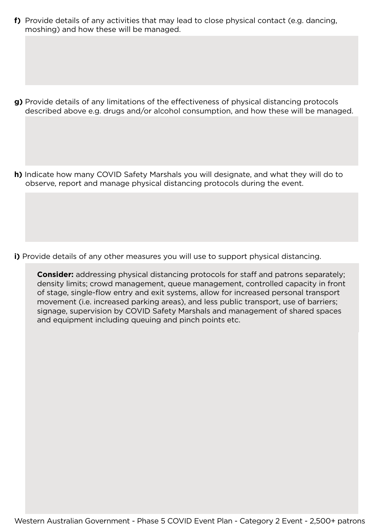**f)** Provide details of any activities that may lead to close physical contact (e.g. dancing, moshing) and how these will be managed.

**g)** Provide details of any limitations of the effectiveness of physical distancing protocols described above e.g. drugs and/or alcohol consumption, and how these will be managed.

**h)** Indicate how many COVID Safety Marshals you will designate, and what they will do to observe, report and manage physical distancing protocols during the event.

- **i)** Provide details of any other measures you will use to support physical distancing.
	- **Consider:** addressing physical distancing protocols for staff and patrons separately; density limits; crowd management, queue management, controlled capacity in front of stage, single-flow entry and exit systems, allow for increased personal transport movement (i.e. increased parking areas), and less public transport, use of barriers; signage, supervision by COVID Safety Marshals and management of shared spaces and equipment including queuing and pinch points etc.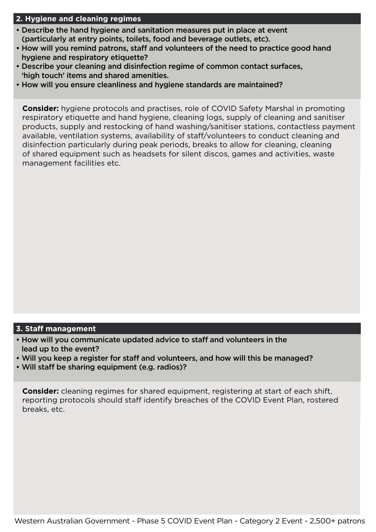# **2. Hygiene and cleaning regimes**

- Describe the hand hygiene and sanitation measures put in place at event (particularly at entry points, toilets, food and beverage outlets, etc).
- How will you remind patrons, staff and volunteers of the need to practice good hand hygiene and respiratory etiquette?
- Describe your cleaning and disinfection regime of common contact surfaces, 'high touch' items and shared amenities.
- How will you ensure cleanliness and hygiene standards are maintained?

**Consider:** hygiene protocols and practises, role of COVID Safety Marshal in promoting respiratory etiquette and hand hygiene, cleaning logs, supply of cleaning and sanitiser products, supply and restocking of hand washing/sanitiser stations, contactless payment available, ventilation systems, availability of staff/volunteers to conduct cleaning and disinfection particularly during peak periods, breaks to allow for cleaning, cleaning of shared equipment such as headsets for silent discos, games and activities, waste management facilities etc.

# **3. Staff management**

- How will you communicate updated advice to staff and volunteers in the lead up to the event?
- Will you keep a register for staff and volunteers, and how will this be managed?
- Will staff be sharing equipment (e.g. radios)?

**Consider:** cleaning regimes for shared equipment, registering at start of each shift, reporting protocols should staff identify breaches of the COVID Event Plan, rostered breaks, etc.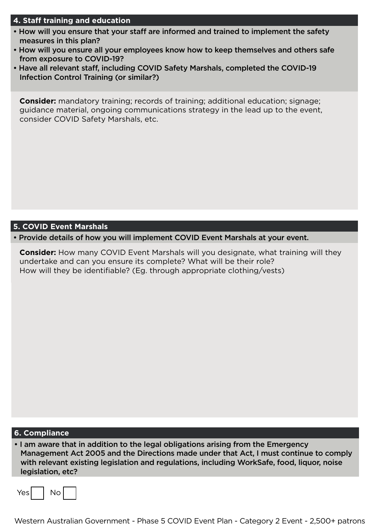# **4. Staff training and education**

- How will you ensure that your staff are informed and trained to implement the safety measures in this plan?
- How will you ensure all your employees know how to keep themselves and others safe from exposure to COVID-19?
- Have all relevant staff, including COVID Safety Marshals, completed the COVID-19 Infection Control Training (or similar?)

**Consider:** mandatory training; records of training; additional education; signage; guidance material, ongoing communications strategy in the lead up to the event, consider COVID Safety Marshals, etc.

#### **5. COVID Event Marshals**

• Provide details of how you will implement COVID Event Marshals at your event.

**Consider:** How many COVID Event Marshals will you designate, what training will they undertake and can you ensure its complete? What will be their role? How will they be identifiable? (Eg. through appropriate clothing/vests)

#### **6. Compliance**

• I am aware that in addition to the legal obligations arising from the Emergency Management Act 2005 and the Directions made under that Act, I must continue to comply with relevant existing legislation and regulations, including WorkSafe, food, liquor, noise legislation, etc?

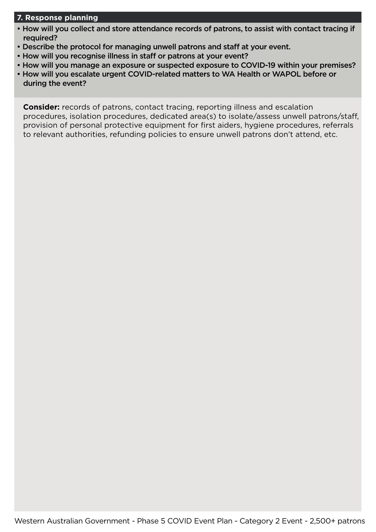# **7. Response planning**

- How will you collect and store attendance records of patrons, to assist with contact tracing if required?
- Describe the protocol for managing unwell patrons and staff at your event.
- How will you recognise illness in staff or patrons at your event?
- How will you manage an exposure or suspected exposure to COVID-19 within your premises?
- How will you escalate urgent COVID-related matters to WA Health or WAPOL before or during the event?

**Consider:** records of patrons, contact tracing, reporting illness and escalation procedures, isolation procedures, dedicated area(s) to isolate/assess unwell patrons/staff, provision of personal protective equipment for first aiders, hygiene procedures, referrals to relevant authorities, refunding policies to ensure unwell patrons don't attend, etc.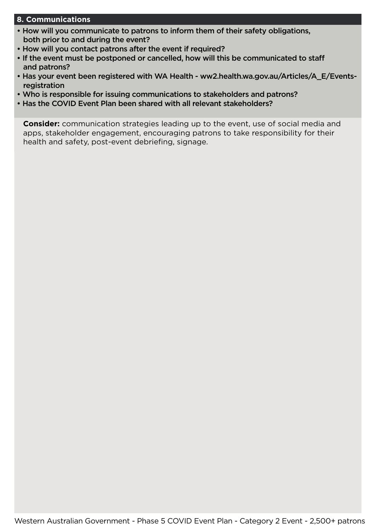#### **8. Communications**

- How will you communicate to patrons to inform them of their safety obligations, both prior to and during the event?
- How will you contact patrons after the event if required?
- If the event must be postponed or cancelled, how will this be communicated to staff and patrons?
- Has your event been registered with WA Health - [ww2.health.wa.gov.au/Articles/A\\_E/Events](http://ww2.health.wa.gov.au/Articles/A_E/Events-registration)[registration](http://ww2.health.wa.gov.au/Articles/A_E/Events-registration)
- Who is responsible for issuing communications to stakeholders and patrons?
- Has the COVID Event Plan been shared with all relevant stakeholders?

**Consider:** communication strategies leading up to the event, use of social media and apps, stakeholder engagement, encouraging patrons to take responsibility for their health and safety, post-event debriefing, signage.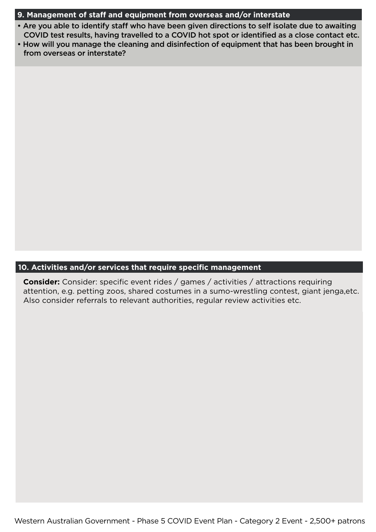# **9. Management of staff and equipment from overseas and/or interstate**

- Are you able to identify staff who have been given directions to self isolate due to awaiting COVID test results, having travelled to a COVID hot spot or identified as a close contact etc.
- How will you manage the cleaning and disinfection of equipment that has been brought in from overseas or interstate?

# **10. Activities and/or services that require specific management**

**Consider:** Consider: specific event rides / games / activities / attractions requiring attention, e.g. petting zoos, shared costumes in a sumo-wrestling contest, giant jenga,etc. Also consider referrals to relevant authorities, regular review activities etc.